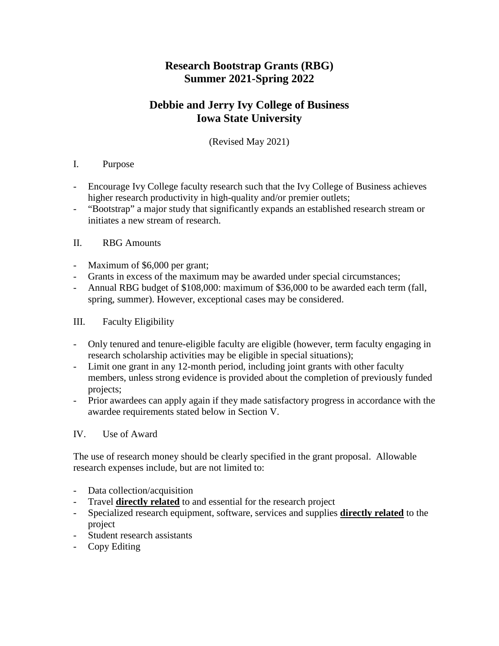# **Research Bootstrap Grants (RBG) Summer 2021-Spring 2022**

## **Debbie and Jerry Ivy College of Business Iowa State University**

(Revised May 2021)

### I. Purpose

- Encourage Ivy College faculty research such that the Ivy College of Business achieves higher research productivity in high-quality and/or premier outlets;
- "Bootstrap" a major study that significantly expands an established research stream or initiates a new stream of research.

## II. RBG Amounts

- Maximum of \$6,000 per grant;
- Grants in excess of the maximum may be awarded under special circumstances;
- Annual RBG budget of \$108,000: maximum of \$36,000 to be awarded each term (fall, spring, summer). However, exceptional cases may be considered.

### III. Faculty Eligibility

- Only tenured and tenure-eligible faculty are eligible (however, term faculty engaging in research scholarship activities may be eligible in special situations);
- Limit one grant in any 12-month period, including joint grants with other faculty members, unless strong evidence is provided about the completion of previously funded projects;
- Prior awardees can apply again if they made satisfactory progress in accordance with the awardee requirements stated below in Section V.

### IV. Use of Award

The use of research money should be clearly specified in the grant proposal. Allowable research expenses include, but are not limited to:

- Data collection/acquisition
- Travel **directly related** to and essential for the research project
- Specialized research equipment, software, services and supplies **directly related** to the project
- Student research assistants
- Copy Editing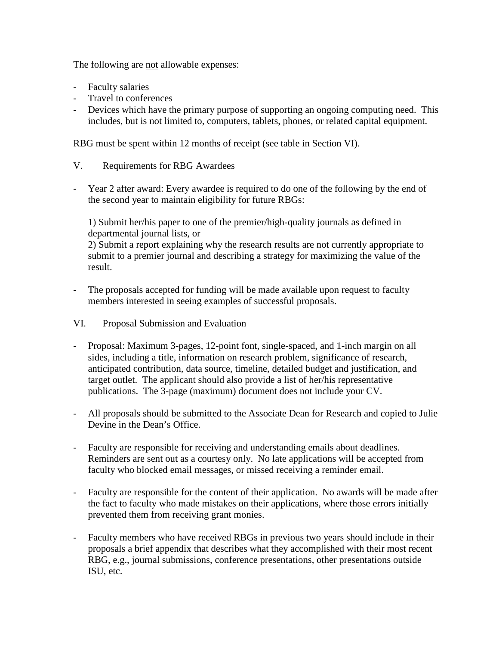The following are not allowable expenses:

- Faculty salaries
- Travel to conferences
- Devices which have the primary purpose of supporting an ongoing computing need. This includes, but is not limited to, computers, tablets, phones, or related capital equipment.

RBG must be spent within 12 months of receipt (see table in Section VI).

- V. Requirements for RBG Awardees
- Year 2 after award: Every awardee is required to do one of the following by the end of the second year to maintain eligibility for future RBGs:

1) Submit her/his paper to one of the premier/high-quality journals as defined in departmental journal lists, or

2) Submit a report explaining why the research results are not currently appropriate to submit to a premier journal and describing a strategy for maximizing the value of the result.

- The proposals accepted for funding will be made available upon request to faculty members interested in seeing examples of successful proposals.
- VI. Proposal Submission and Evaluation
- Proposal: Maximum 3-pages, 12-point font, single-spaced, and 1-inch margin on all sides, including a title, information on research problem, significance of research, anticipated contribution, data source, timeline, detailed budget and justification, and target outlet. The applicant should also provide a list of her/his representative publications. The 3-page (maximum) document does not include your CV.
- All proposals should be submitted to the Associate Dean for Research and copied to Julie Devine in the Dean's Office.
- Faculty are responsible for receiving and understanding emails about deadlines. Reminders are sent out as a courtesy only. No late applications will be accepted from faculty who blocked email messages, or missed receiving a reminder email.
- Faculty are responsible for the content of their application. No awards will be made after the fact to faculty who made mistakes on their applications, where those errors initially prevented them from receiving grant monies.
- Faculty members who have received RBGs in previous two years should include in their proposals a brief appendix that describes what they accomplished with their most recent RBG, e.g., journal submissions, conference presentations, other presentations outside ISU, etc.